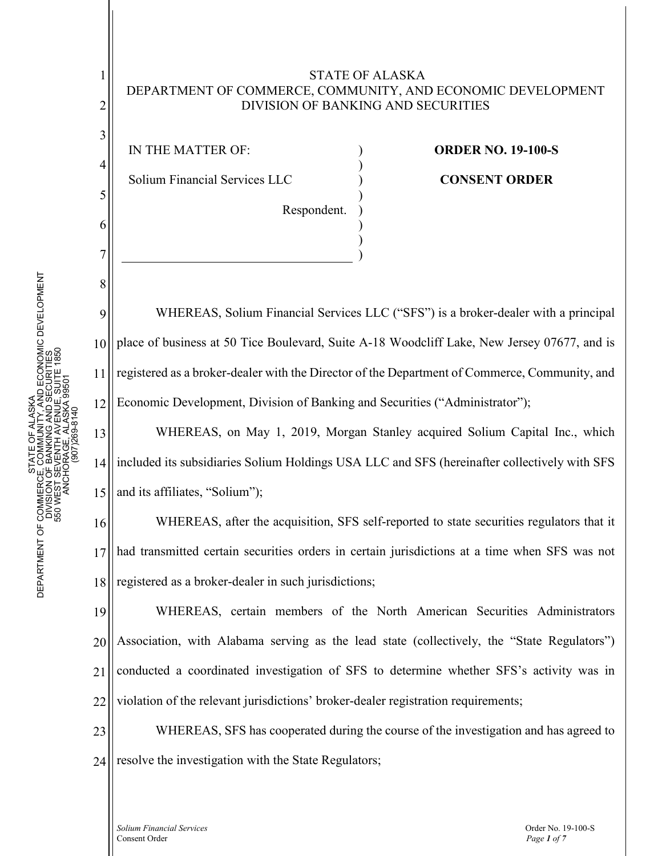### STATE OF ALASKA DEPARTMENT OF COMMERCE, COMMUNITY, AND ECONOMIC DEVELOPMENT DIVISION OF BANKING AND SECURITIES

) ) ) ) ) ) )

)

IN THE MATTER OF:

1

2

3

4

5

6

7

8

9

10

11

12

Solium Financial Services LLC

Respondent.

# **ORDER NO. 19-100-S**

## **CONSENT ORDER**

WHEREAS, Solium Financial Services LLC ("SFS") is a broker-dealer with a principal place of business at 50 Tice Boulevard, Suite A-18 Woodcliff Lake, New Jersey 07677, and is registered as a broker-dealer with the Director of the Department of Commerce, Community, and Economic Development, Division of Banking and Securities ("Administrator");

13 14 15 WHEREAS, on May 1, 2019, Morgan Stanley acquired Solium Capital Inc., which included its subsidiaries Solium Holdings USA LLC and SFS (hereinafter collectively with SFS and its affiliates, "Solium");

16 17 18 WHEREAS, after the acquisition, SFS self-reported to state securities regulators that it had transmitted certain securities orders in certain jurisdictions at a time when SFS was not registered as a broker-dealer in such jurisdictions;

19 20 21 22 WHEREAS, certain members of the North American Securities Administrators Association, with Alabama serving as the lead state (collectively, the "State Regulators") conducted a coordinated investigation of SFS to determine whether SFS's activity was in violation of the relevant jurisdictions' broker-dealer registration requirements;

23 24 WHEREAS, SFS has cooperated during the course of the investigation and has agreed to resolve the investigation with the State Regulators;

*Solium Financial Services* Order No. 19-100-S Consent Order *Page 1 of 7*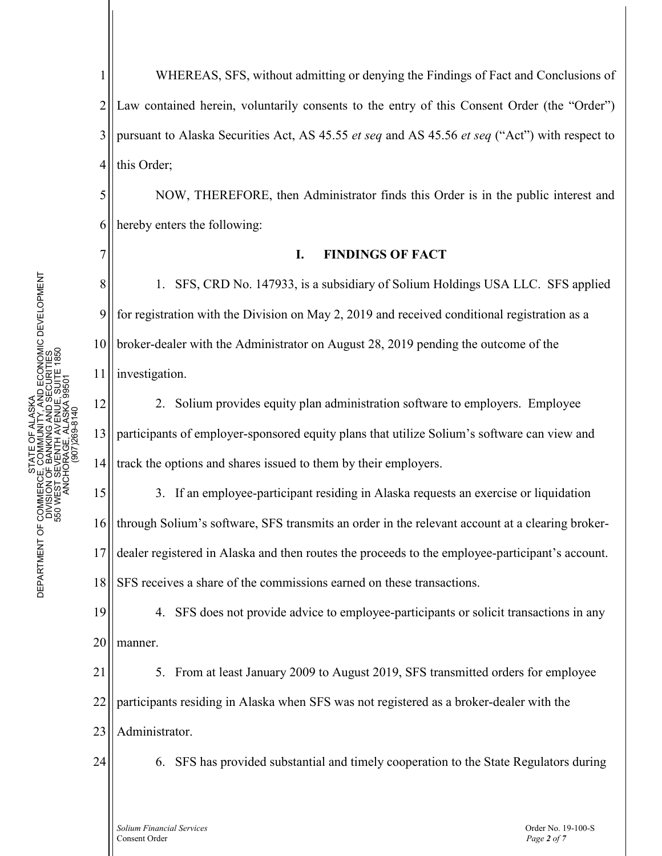5

6

7

8

9

10

11

1 2 3 4 WHEREAS, SFS, without admitting or denying the Findings of Fact and Conclusions of Law contained herein, voluntarily consents to the entry of this Consent Order (the "Order") pursuant to Alaska Securities Act, AS 45.55 *et seq* and AS 45.56 *et seq* ("Act") with respect to this Order;

NOW, THEREFORE, then Administrator finds this Order is in the public interest and hereby enters the following:

#### **I. FINDINGS OF FACT**

1. SFS, CRD No. 147933, is a subsidiary of Solium Holdings USA LLC. SFS applied for registration with the Division on May 2, 2019 and received conditional registration as a broker-dealer with the Administrator on August 28, 2019 pending the outcome of the investigation.

12 13 14 2. Solium provides equity plan administration software to employers. Employee participants of employer-sponsored equity plans that utilize Solium's software can view and track the options and shares issued to them by their employers.

15 16 17 18 3. If an employee-participant residing in Alaska requests an exercise or liquidation through Solium's software, SFS transmits an order in the relevant account at a clearing brokerdealer registered in Alaska and then routes the proceeds to the employee-participant's account. SFS receives a share of the commissions earned on these transactions.

19 20 4. SFS does not provide advice to employee-participants or solicit transactions in any manner.

21 22 23 5. From at least January 2009 to August 2019, SFS transmitted orders for employee participants residing in Alaska when SFS was not registered as a broker-dealer with the Administrator.

24

6. SFS has provided substantial and timely cooperation to the State Regulators during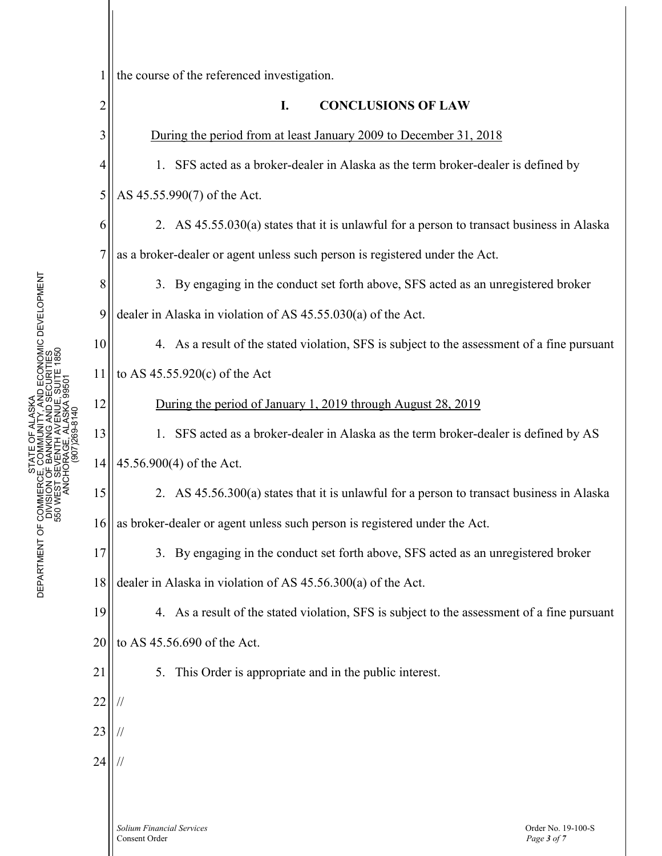| 1              | the course of the referenced investigation.                                                 |
|----------------|---------------------------------------------------------------------------------------------|
| $\overline{c}$ | <b>CONCLUSIONS OF LAW</b><br>I.                                                             |
| 3              | During the period from at least January 2009 to December 31, 2018                           |
| $\overline{4}$ | 1. SFS acted as a broker-dealer in Alaska as the term broker-dealer is defined by           |
| 5              | AS 45.55.990(7) of the Act.                                                                 |
| 6              | 2. AS 45.55.030(a) states that it is unlawful for a person to transact business in Alaska   |
| $\overline{7}$ | as a broker-dealer or agent unless such person is registered under the Act.                 |
| 8              | 3. By engaging in the conduct set forth above, SFS acted as an unregistered broker          |
| 9              | dealer in Alaska in violation of AS 45.55.030(a) of the Act.                                |
| 10             | 4. As a result of the stated violation, SFS is subject to the assessment of a fine pursuant |
| 11             | to AS $45.55.920(c)$ of the Act                                                             |
| 12             | During the period of January 1, 2019 through August 28, 2019                                |
| 13             | 1. SFS acted as a broker-dealer in Alaska as the term broker-dealer is defined by AS        |
| 14             | 45.56.900(4) of the Act.                                                                    |
| 15             | 2. AS 45.56.300(a) states that it is unlawful for a person to transact business in Alaska   |
| 16             | as broker-dealer or agent unless such person is registered under the Act.                   |
| 17             | 3. By engaging in the conduct set forth above, SFS acted as an unregistered broker          |
| 18             | dealer in Alaska in violation of AS 45.56.300(a) of the Act.                                |
| 19             | 4. As a result of the stated violation, SFS is subject to the assessment of a fine pursuant |
| 20             | to AS 45.56.690 of the Act.                                                                 |
| 21             | 5.<br>This Order is appropriate and in the public interest.                                 |
| 22             |                                                                                             |
| 23             |                                                                                             |
| 24             |                                                                                             |
|                |                                                                                             |
|                |                                                                                             |

*Solium Financial Services* Order No. 19-100-S Consent Order *Page 3 of 7*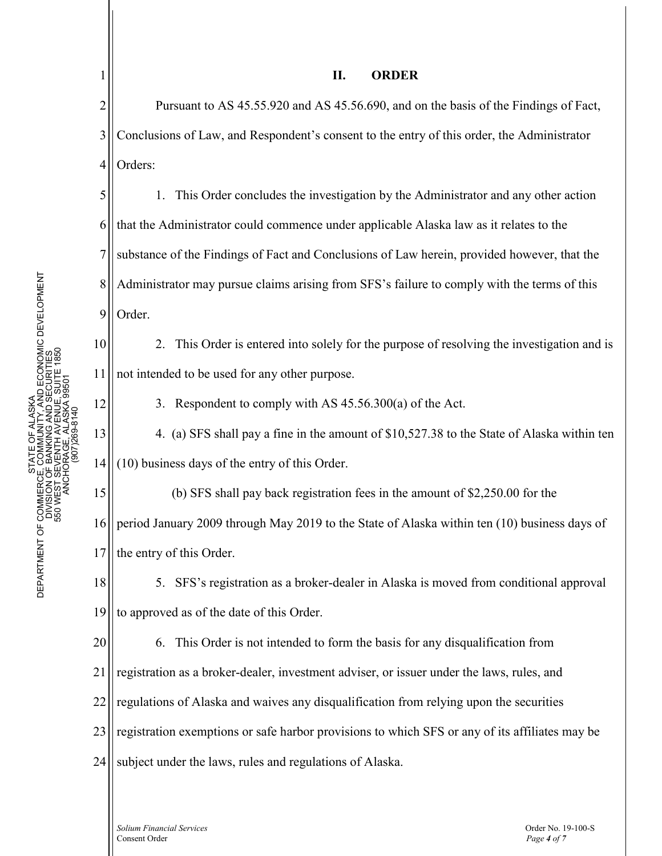1

10

11

12

20

# **II. ORDER**

2 3 4 Pursuant to AS 45.55.920 and AS 45.56.690, and on the basis of the Findings of Fact, Conclusions of Law, and Respondent's consent to the entry of this order, the Administrator Orders:

5 6 7 8 9 1. This Order concludes the investigation by the Administrator and any other action that the Administrator could commence under applicable Alaska law as it relates to the substance of the Findings of Fact and Conclusions of Law herein, provided however, that the Administrator may pursue claims arising from SFS's failure to comply with the terms of this Order.

2. This Order is entered into solely for the purpose of resolving the investigation and is not intended to be used for any other purpose.

3. Respondent to comply with AS 45.56.300(a) of the Act.

13 14 4. (a) SFS shall pay a fine in the amount of \$10,527.38 to the State of Alaska within ten (10) business days of the entry of this Order.

15 16 17 (b) SFS shall pay back registration fees in the amount of \$2,250.00 for the period January 2009 through May 2019 to the State of Alaska within ten (10) business days of the entry of this Order.

18 19 5. SFS's registration as a broker-dealer in Alaska is moved from conditional approval to approved as of the date of this Order.

6. This Order is not intended to form the basis for any disqualification from

21 registration as a broker-dealer, investment adviser, or issuer under the laws, rules, and

22 regulations of Alaska and waives any disqualification from relying upon the securities

23 registration exemptions or safe harbor provisions to which SFS or any of its affiliates may be

24 subject under the laws, rules and regulations of Alaska.

*Solium Financial Services* Order No. 19-100-S Consent Order *Page 4 of 7*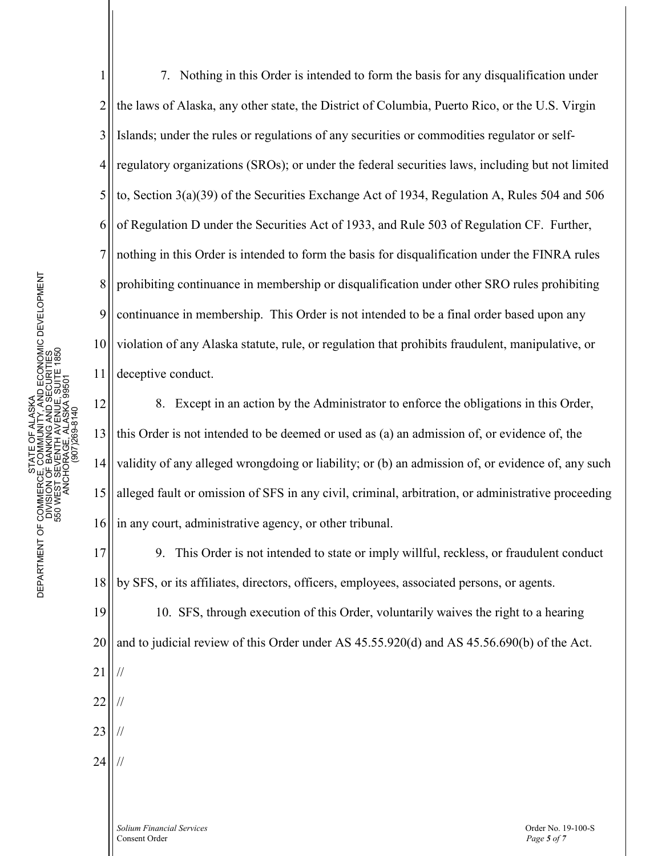1 2 3 4 5 6 7 8 9 10 11 7. Nothing in this Order is intended to form the basis for any disqualification under the laws of Alaska, any other state, the District of Columbia, Puerto Rico, or the U.S. Virgin Islands; under the rules or regulations of any securities or commodities regulator or selfregulatory organizations (SROs); or under the federal securities laws, including but not limited to, Section 3(a)(39) of the Securities Exchange Act of 1934, Regulation A, Rules 504 and 506 of Regulation D under the Securities Act of 1933, and Rule 503 of Regulation CF. Further, nothing in this Order is intended to form the basis for disqualification under the FINRA rules prohibiting continuance in membership or disqualification under other SRO rules prohibiting continuance in membership. This Order is not intended to be a final order based upon any violation of any Alaska statute, rule, or regulation that prohibits fraudulent, manipulative, or deceptive conduct.

12 13 14 15 16 8. Except in an action by the Administrator to enforce the obligations in this Order, this Order is not intended to be deemed or used as (a) an admission of, or evidence of, the validity of any alleged wrongdoing or liability; or (b) an admission of, or evidence of, any such alleged fault or omission of SFS in any civil, criminal, arbitration, or administrative proceeding in any court, administrative agency, or other tribunal.

17 18 9. This Order is not intended to state or imply willful, reckless, or fraudulent conduct by SFS, or its affiliates, directors, officers, employees, associated persons, or agents.

19 20 10. SFS, through execution of this Order, voluntarily waives the right to a hearing and to judicial review of this Order under AS 45.55.920(d) and AS 45.56.690(b) of the Act.

22 //

//

21

- 23 //
- 24 //

*Solium Financial Services* Order No. 19-100-S Consent Order *Page 5 of 7*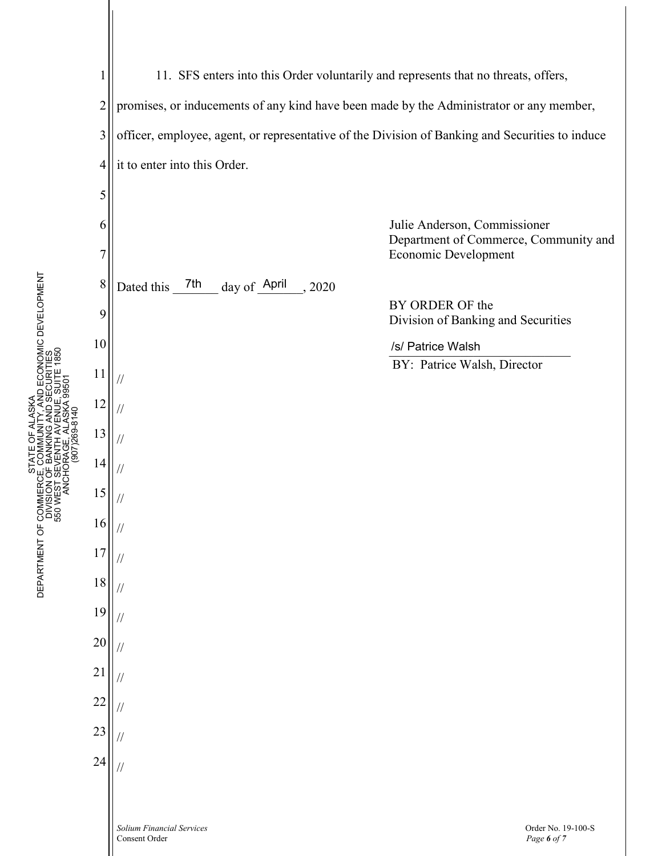